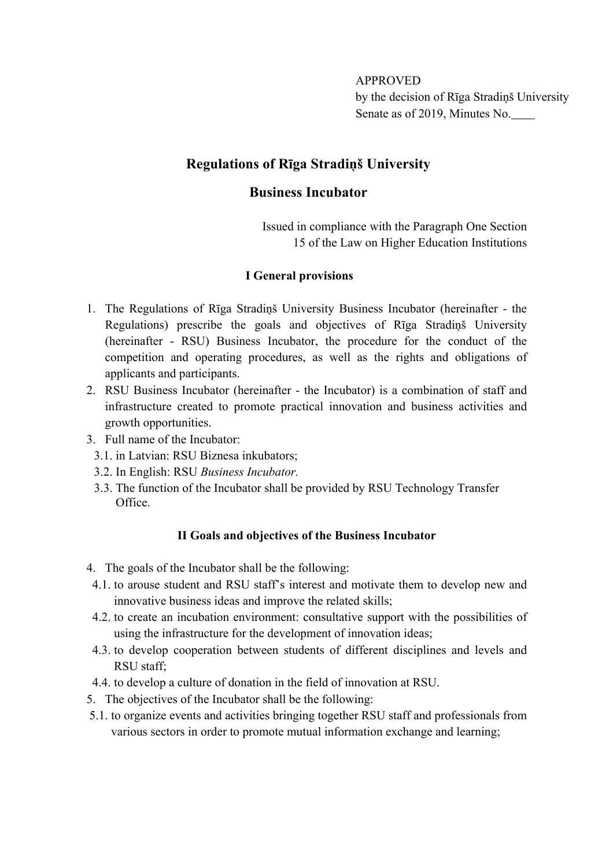APPROVED by the decision of Rīga Stradiņš University Senate as of 2019, Minutes No.

## **Regulations of Rīga Stradiņš University**

## **Business Incubator**

Issued in compliance with the Paragraph One Section 15 of the Law on Higher Education Institutions

#### **I General provisions**

- 1. The Regulations of Rīga Stradiņš University Business Incubator (hereinafter the Regulations) prescribe the goals and objectives of Rīga Stradiņš University (hereinafter - RSU) Business Incubator, the procedure for the conduct of the competition and operating procedures, as well as the rights and obligations of applicants and participants.
- 2. RSU Business Incubator (hereinafter the Incubator) is a combination of staff and infrastructure created to promote practical innovation and business activities and growth opportunities.
- 3. Full name of the Incubator:
	- 3.1. in Latvian: RSU Biznesa inkubators;
	- 3.2. In English: RSU *Business Incubator.*
	- 3.3. The function of the Incubator shall be provided by RSU Technology Transfer Office.

#### **II Goals and objectives of the Business Incubator**

- 4. The goals of the Incubator shall be the following:
- 4.1. to arouse student and RSU staff's interest and motivate them to develop new and innovative business ideas and improve the related skills;
- 4.2. to create an incubation environment: consultative support with the possibilities of using the infrastructure for the development of innovation ideas;
- 4.3. to develop cooperation between students of different disciplines and levels and RSU staff;
- 4.4. to develop a culture of donation in the field of innovation at RSU.
- 5. The objectives of the Incubator shall be the following:
- 5.1. to organize events and activities bringing together RSU staff and professionals from various sectors in order to promote mutual information exchange and learning;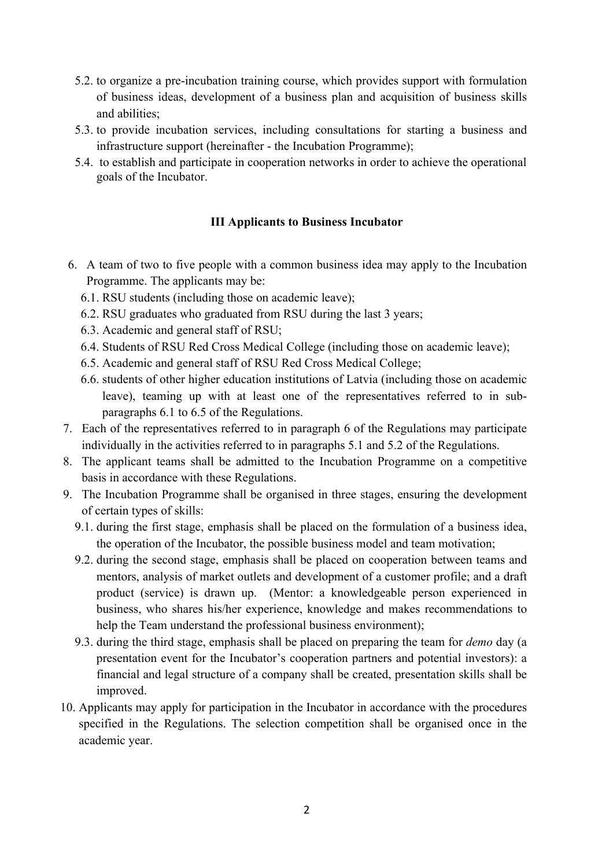- 5.2. to organize a pre-incubation training course, which provides support with formulation of business ideas, development of a business plan and acquisition of business skills and abilities;
- 5.3. to provide incubation services, including consultations for starting a business and infrastructure support (hereinafter - the Incubation Programme);
- 5.4. to establish and participate in cooperation networks in order to achieve the operational goals of the Incubator.

#### **III Applicants to Business Incubator**

- 6. A team of two to five people with a common business idea may apply to the Incubation Programme. The applicants may be:
	- 6.1. RSU students (including those on academic leave);
	- 6.2. RSU graduates who graduated from RSU during the last 3 years;
	- 6.3. Academic and general staff of RSU;
	- 6.4. Students of RSU Red Cross Medical College (including those on academic leave);
	- 6.5. Academic and general staff of RSU Red Cross Medical College;
	- 6.6. students of other higher education institutions of Latvia (including those on academic leave), teaming up with at least one of the representatives referred to in subparagraphs 6.1 to 6.5 of the Regulations.
- 7. Each of the representatives referred to in paragraph 6 of the Regulations may participate individually in the activities referred to in paragraphs 5.1 and 5.2 of the Regulations.
- 8. The applicant teams shall be admitted to the Incubation Programme on a competitive basis in accordance with these Regulations.
- 9. The Incubation Programme shall be organised in three stages, ensuring the development of certain types of skills:
	- 9.1. during the first stage, emphasis shall be placed on the formulation of a business idea, the operation of the Incubator, the possible business model and team motivation;
	- 9.2. during the second stage, emphasis shall be placed on cooperation between teams and mentors, analysis of market outlets and development of a customer profile; and a draft product (service) is drawn up. (Mentor: a knowledgeable person experienced in business, who shares his/her experience, knowledge and makes recommendations to help the Team understand the professional business environment);
	- 9.3. during the third stage, emphasis shall be placed on preparing the team for *demo* day (a presentation event for the Incubator's cooperation partners and potential investors): a financial and legal structure of a company shall be created, presentation skills shall be improved.
- 10. Applicants may apply for participation in the Incubator in accordance with the procedures specified in the Regulations. The selection competition shall be organised once in the academic year.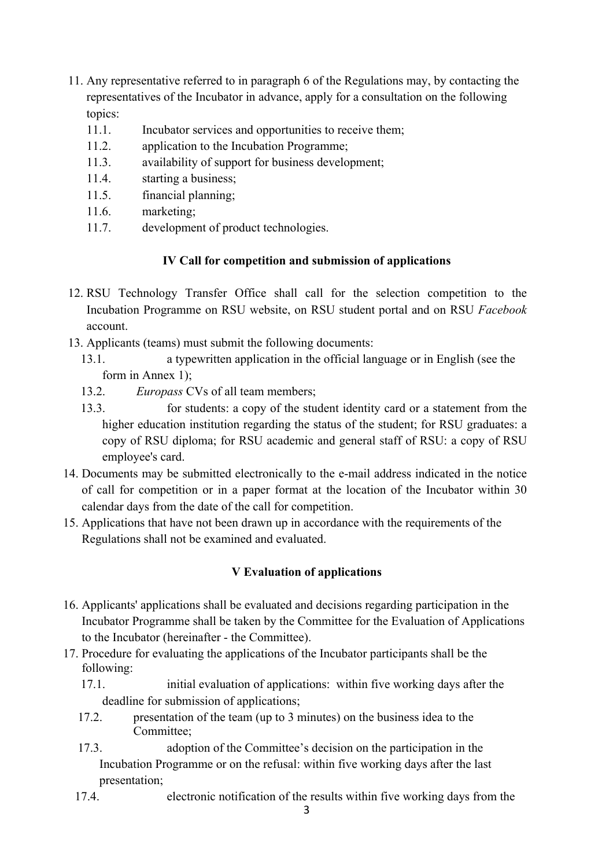- 11. Any representative referred to in paragraph 6 of the Regulations may, by contacting the representatives of the Incubator in advance, apply for a consultation on the following topics:
	- 11.1. Incubator services and opportunities to receive them;
	- 11.2. application to the Incubation Programme;
	- 11.3. availability of support for business development;
	- 11.4. starting a business;
	- 11.5. financial planning;
	- 11.6. marketing;
	- 11.7. development of product technologies.

### **IV Call for competition and submission of applications**

- 12. RSU Technology Transfer Office shall call for the selection competition to the Incubation Programme on RSU website, on RSU student portal and on RSU *Facebook* account.
- 13. Applicants (teams) must submit the following documents:
	- 13.1. a typewritten application in the official language or in English (see the form in Annex 1);
	- 13.2. *Europass* CVs of all team members;
	- 13.3. for students: a copy of the student identity card or a statement from the higher education institution regarding the status of the student; for RSU graduates: a copy of RSU diploma; for RSU academic and general staff of RSU: a copy of RSU employee's card.
- 14. Documents may be submitted electronically to the e-mail address indicated in the notice of call for competition or in a paper format at the location of the Incubator within 30 calendar days from the date of the call for competition.
- 15. Applications that have not been drawn up in accordance with the requirements of the Regulations shall not be examined and evaluated.

#### **V Evaluation of applications**

- 16. Applicants' applications shall be evaluated and decisions regarding participation in the Incubator Programme shall be taken by the Committee for the Evaluation of Applications to the Incubator (hereinafter - the Committee).
- 17. Procedure for evaluating the applications of the Incubator participants shall be the following:
	- 17.1. initial evaluation of applications: within five working days after the deadline for submission of applications;
	- 17.2. presentation of the team (up to 3 minutes) on the business idea to the Committee;
	- 17.3. adoption of the Committee's decision on the participation in the Incubation Programme or on the refusal: within five working days after the last presentation;
	- 17.4. electronic notification of the results within five working days from the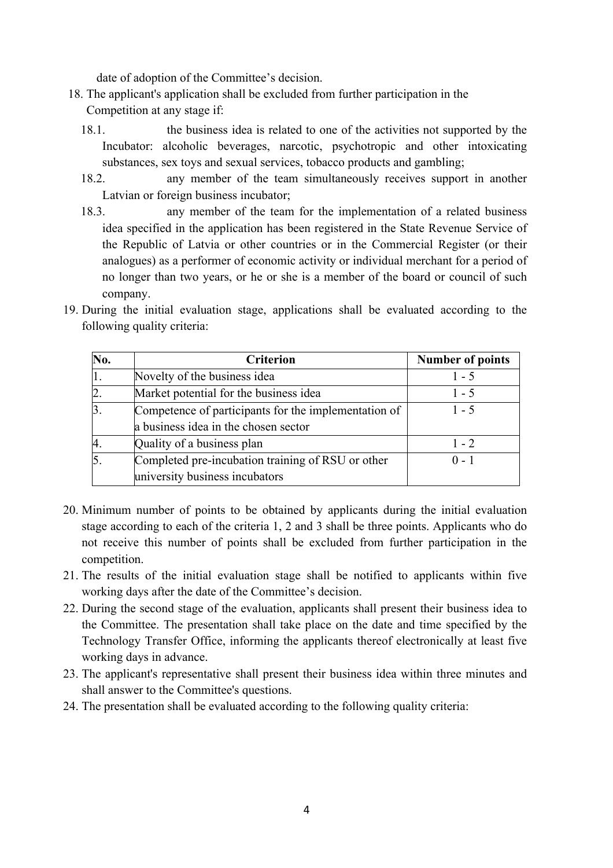date of adoption of the Committee's decision.

- 18. The applicant's application shall be excluded from further participation in the Competition at any stage if:
	- 18.1. the business idea is related to one of the activities not supported by the Incubator: alcoholic beverages, narcotic, psychotropic and other intoxicating substances, sex toys and sexual services, tobacco products and gambling;
	- 18.2. any member of the team simultaneously receives support in another Latvian or foreign business incubator;
	- 18.3. any member of the team for the implementation of a related business idea specified in the application has been registered in the State Revenue Service of the Republic of Latvia or other countries or in the Commercial Register (or their analogues) as a performer of economic activity or individual merchant for a period of no longer than two years, or he or she is a member of the board or council of such company.
- 19. During the initial evaluation stage, applications shall be evaluated according to the following quality criteria:

| No.              | <b>Criterion</b>                                     | <b>Number of points</b> |
|------------------|------------------------------------------------------|-------------------------|
| 1.               | Novelty of the business idea                         | $1 - 5$                 |
| $\overline{2}$ . | Market potential for the business idea               | $1 - 5$                 |
| $\overline{3}$ . | Competence of participants for the implementation of | $1 - 5$                 |
|                  | a business idea in the chosen sector                 |                         |
|                  | Quality of a business plan                           | $1 - 2$                 |
| $\overline{5}$   | Completed pre-incubation training of RSU or other    | $0 - 1$                 |
|                  | university business incubators                       |                         |

- 20. Minimum number of points to be obtained by applicants during the initial evaluation stage according to each of the criteria 1, 2 and 3 shall be three points. Applicants who do not receive this number of points shall be excluded from further participation in the competition.
- 21. The results of the initial evaluation stage shall be notified to applicants within five working days after the date of the Committee's decision.
- 22. During the second stage of the evaluation, applicants shall present their business idea to the Committee. The presentation shall take place on the date and time specified by the Technology Transfer Office, informing the applicants thereof electronically at least five working days in advance.
- 23. The applicant's representative shall present their business idea within three minutes and shall answer to the Committee's questions.
- 24. The presentation shall be evaluated according to the following quality criteria: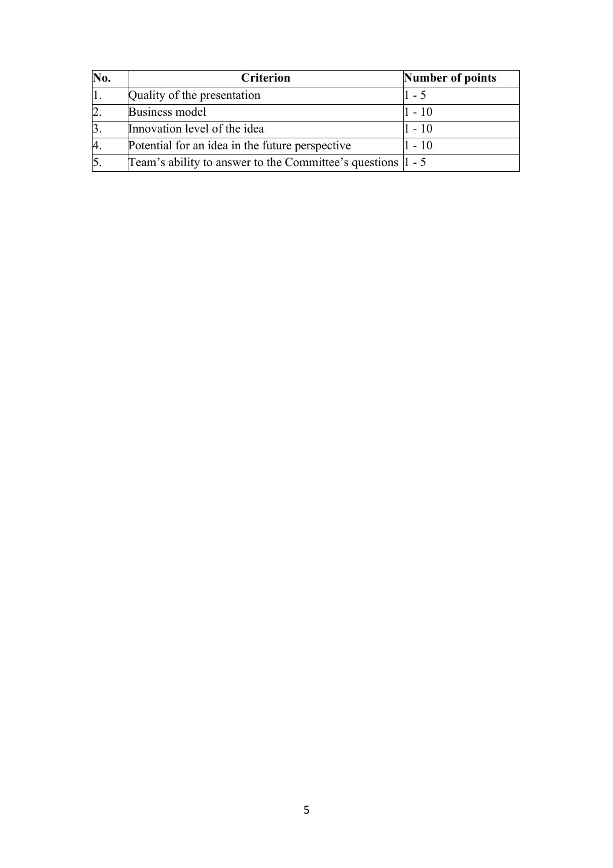| No.              | <b>Criterion</b>                                                | Number of points |
|------------------|-----------------------------------------------------------------|------------------|
|                  | Quality of the presentation                                     | $1 - 5$          |
| $\overline{2}$ . | Business model                                                  | $1 - 10$         |
| $\overline{3}$ . | Innovation level of the idea                                    | $1 - 10$         |
| 4.               | Potential for an idea in the future perspective                 | 1 - 10           |
| $\overline{5}$ . | Team's ability to answer to the Committee's questions $ 1 - 5 $ |                  |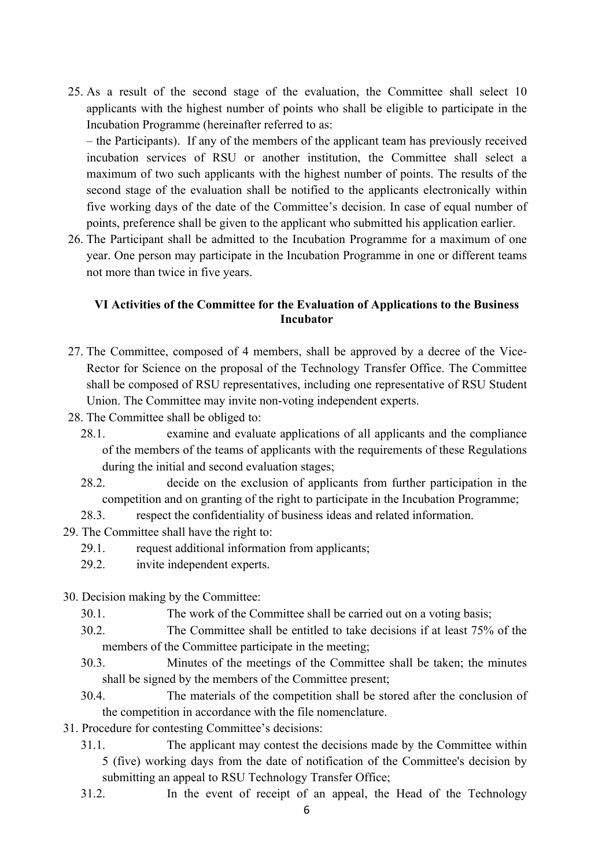25. As a result of the second stage of the evaluation, the Committee shall select 10 applicants with the highest number of points who shall be eligible to participate in the Incubation Programme (hereinafter referred to as:

– the Participants). If any of the members of the applicant team has previously received incubation services of RSU or another institution, the Committee shall select a maximum of two such applicants with the highest number of points. The results of the second stage of the evaluation shall be notified to the applicants electronically within five working days of the date of the Committee's decision. In case of equal number of points, preference shall be given to the applicant who submitted his application earlier.

26. The Participant shall be admitted to the Incubation Programme for a maximum of one year. One person may participate in the Incubation Programme in one or different teams not more than twice in five years.

#### **VI Activities of the Committee for the Evaluation of Applications to the Business Incubator**

- 27. The Committee, composed of 4 members, shall be approved by a decree of the Vice-Rector for Science on the proposal of the Technology Transfer Office. The Committee shall be composed of RSU representatives, including one representative of RSU Student Union. The Committee may invite non-voting independent experts.
- 28. The Committee shall be obliged to:
	- 28.1. examine and evaluate applications of all applicants and the compliance of the members of the teams of applicants with the requirements of these Regulations during the initial and second evaluation stages;
	- 28.2. decide on the exclusion of applicants from further participation in the competition and on granting of the right to participate in the Incubation Programme;
	- 28.3. respect the confidentiality of business ideas and related information.
- 29. The Committee shall have the right to:
	- 29.1. request additional information from applicants;
	- 29.2. invite independent experts.
- 30. Decision making by the Committee:
	- 30.1. The work of the Committee shall be carried out on a voting basis;
	- 30.2. The Committee shall be entitled to take decisions if at least 75% of the members of the Committee participate in the meeting;
	- 30.3. Minutes of the meetings of the Committee shall be taken; the minutes shall be signed by the members of the Committee present;
	- 30.4. The materials of the competition shall be stored after the conclusion of the competition in accordance with the file nomenclature.
- 31. Procedure for contesting Committee's decisions:
	- 31.1. The applicant may contest the decisions made by the Committee within 5 (five) working days from the date of notification of the Committee's decision by submitting an appeal to RSU Technology Transfer Office;
	- 31.2. In the event of receipt of an appeal, the Head of the Technology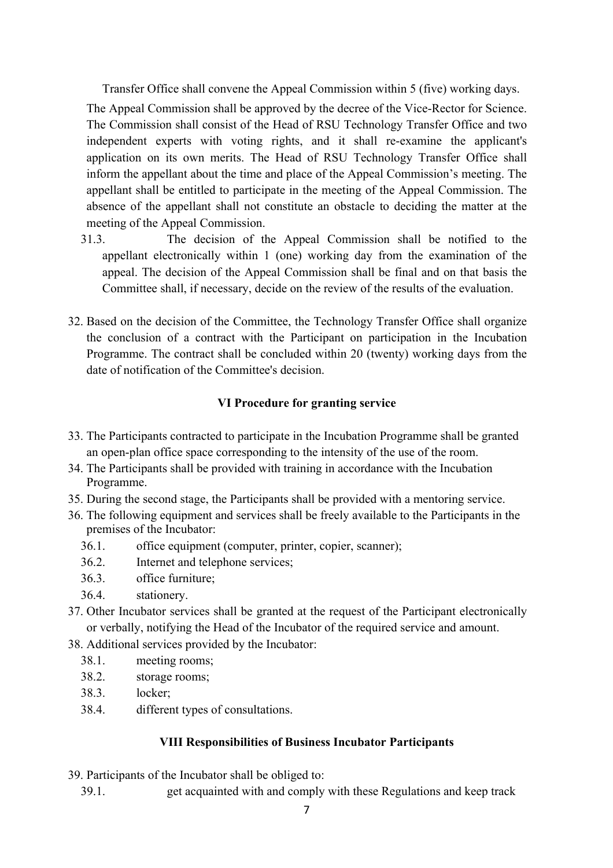Transfer Office shall convene the Appeal Commission within 5 (five) working days. The Appeal Commission shall be approved by the decree of the Vice-Rector for Science. The Commission shall consist of the Head of RSU Technology Transfer Office and two independent experts with voting rights, and it shall re-examine the applicant's application on its own merits. The Head of RSU Technology Transfer Office shall inform the appellant about the time and place of the Appeal Commission's meeting. The appellant shall be entitled to participate in the meeting of the Appeal Commission. The absence of the appellant shall not constitute an obstacle to deciding the matter at the meeting of the Appeal Commission.

- 31.3. The decision of the Appeal Commission shall be notified to the appellant electronically within 1 (one) working day from the examination of the appeal. The decision of the Appeal Commission shall be final and on that basis the Committee shall, if necessary, decide on the review of the results of the evaluation.
- 32. Based on the decision of the Committee, the Technology Transfer Office shall organize the conclusion of a contract with the Participant on participation in the Incubation Programme. The contract shall be concluded within 20 (twenty) working days from the date of notification of the Committee's decision.

#### **VI Procedure for granting service**

- 33. The Participants contracted to participate in the Incubation Programme shall be granted an open-plan office space corresponding to the intensity of the use of the room.
- 34. The Participants shall be provided with training in accordance with the Incubation Programme.
- 35. During the second stage, the Participants shall be provided with a mentoring service.
- 36. The following equipment and services shall be freely available to the Participants in the premises of the Incubator:
	- 36.1. office equipment (computer, printer, copier, scanner);
	- 36.2. Internet and telephone services;
	- 36.3. office furniture;
	- 36.4. stationery.
- 37. Other Incubator services shall be granted at the request of the Participant electronically or verbally, notifying the Head of the Incubator of the required service and amount.
- 38. Additional services provided by the Incubator:
	- 38.1. meeting rooms;
	- 38.2. storage rooms;
	- 38.3. locker;
	- 38.4. different types of consultations.

#### **VIII Responsibilities of Business Incubator Participants**

- 39. Participants of the Incubator shall be obliged to:
	- 39.1. get acquainted with and comply with these Regulations and keep track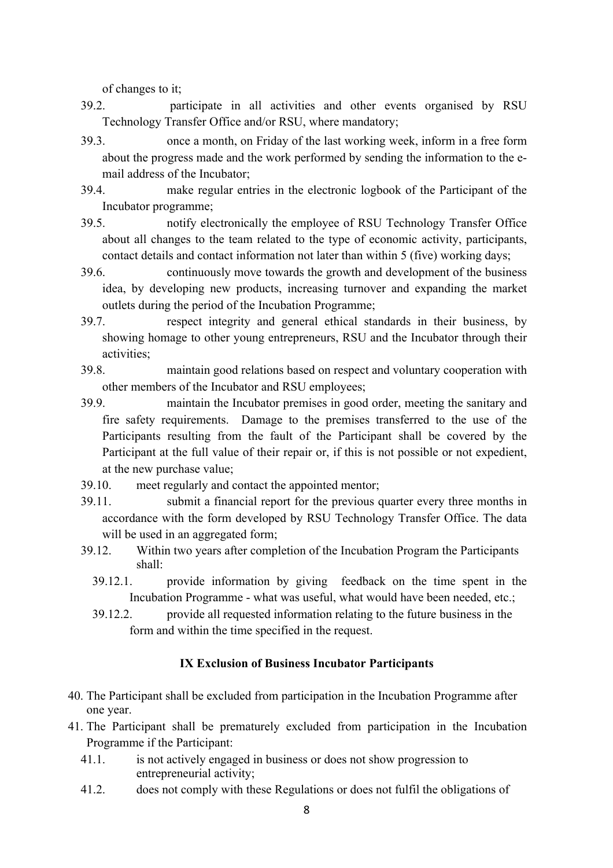of changes to it;

- 39.2. participate in all activities and other events organised by RSU Technology Transfer Office and/or RSU, where mandatory;
- 39.3. once a month, on Friday of the last working week, inform in a free form about the progress made and the work performed by sending the information to the email address of the Incubator;
- 39.4. make regular entries in the electronic logbook of the Participant of the Incubator programme;
- 39.5. notify electronically the employee of RSU Technology Transfer Office about all changes to the team related to the type of economic activity, participants, contact details and contact information not later than within 5 (five) working days;
- 39.6. continuously move towards the growth and development of the business idea, by developing new products, increasing turnover and expanding the market outlets during the period of the Incubation Programme;
- 39.7. respect integrity and general ethical standards in their business, by showing homage to other young entrepreneurs, RSU and the Incubator through their activities;
- 39.8. maintain good relations based on respect and voluntary cooperation with other members of the Incubator and RSU employees;
- 39.9. maintain the Incubator premises in good order, meeting the sanitary and fire safety requirements. Damage to the premises transferred to the use of the Participants resulting from the fault of the Participant shall be covered by the Participant at the full value of their repair or, if this is not possible or not expedient, at the new purchase value;
- 39.10. meet regularly and contact the appointed mentor;
- 39.11. submit a financial report for the previous quarter every three months in accordance with the form developed by RSU Technology Transfer Office. The data will be used in an aggregated form;
- 39.12. Within two years after completion of the Incubation Program the Participants shall:
	- 39.12.1. provide information by giving feedback on the time spent in the Incubation Programme - what was useful, what would have been needed, etc.;
	- 39.12.2. provide all requested information relating to the future business in the form and within the time specified in the request.

#### **IX Exclusion of Business Incubator Participants**

- 40. The Participant shall be excluded from participation in the Incubation Programme after one year.
- 41. The Participant shall be prematurely excluded from participation in the Incubation Programme if the Participant:
	- 41.1. is not actively engaged in business or does not show progression to entrepreneurial activity;
	- 41.2. does not comply with these Regulations or does not fulfil the obligations of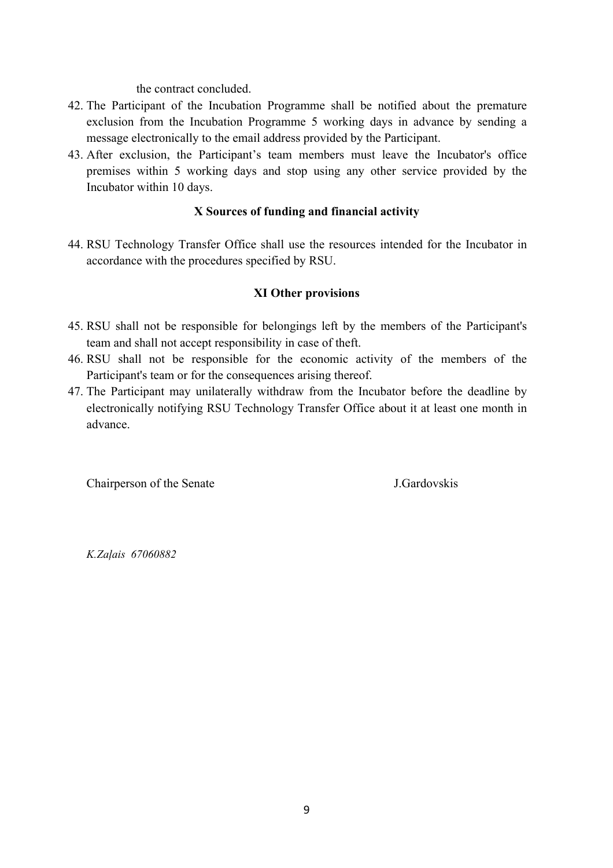the contract concluded.

- 42. The Participant of the Incubation Programme shall be notified about the premature exclusion from the Incubation Programme 5 working days in advance by sending a message electronically to the email address provided by the Participant.
- 43. After exclusion, the Participant's team members must leave the Incubator's office premises within 5 working days and stop using any other service provided by the Incubator within 10 days.

#### **X Sources of funding and financial activity**

44. RSU Technology Transfer Office shall use the resources intended for the Incubator in accordance with the procedures specified by RSU.

#### **XI Other provisions**

- 45. RSU shall not be responsible for belongings left by the members of the Participant's team and shall not accept responsibility in case of theft.
- 46. RSU shall not be responsible for the economic activity of the members of the Participant's team or for the consequences arising thereof.
- 47. The Participant may unilaterally withdraw from the Incubator before the deadline by electronically notifying RSU Technology Transfer Office about it at least one month in advance.

Chairperson of the Senate J.Gardovskis

*K.Zaļais 67060882*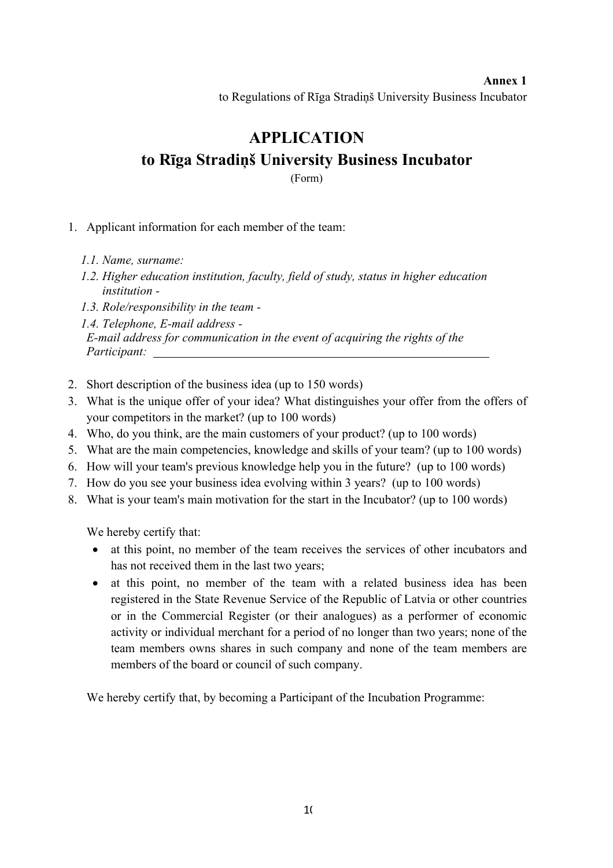# **Annex 1** to Regulations of Rīga Stradiņš University Business Incubator

# **APPLICATION to Rīga Stradiņš University Business Incubator**

(Form)

#### 1. Applicant information for each member of the team:

- *1.1. Name, surname:*
- *1.2. Higher education institution, faculty, field of study, status in higher education institution -*
- *1.3. Role/responsibility in the team -*

*1.4. Telephone, E-mail address - E-mail address for communication in the event of acquiring the rights of the Participant:* 

- 2. Short description of the business idea (up to 150 words)
- 3. What is the unique offer of your idea? What distinguishes your offer from the offers of your competitors in the market? (up to 100 words)
- 4. Who, do you think, are the main customers of your product? (up to 100 words)
- 5. What are the main competencies, knowledge and skills of your team? (up to 100 words)
- 6. How will your team's previous knowledge help you in the future? (up to 100 words)
- 7. How do you see your business idea evolving within 3 years? (up to 100 words)
- 8. What is your team's main motivation for the start in the Incubator? (up to 100 words)

We hereby certify that:

- at this point, no member of the team receives the services of other incubators and has not received them in the last two years;
- at this point, no member of the team with a related business idea has been registered in the State Revenue Service of the Republic of Latvia or other countries or in the Commercial Register (or their analogues) as a performer of economic activity or individual merchant for a period of no longer than two years; none of the team members owns shares in such company and none of the team members are members of the board or council of such company.

We hereby certify that, by becoming a Participant of the Incubation Programme: